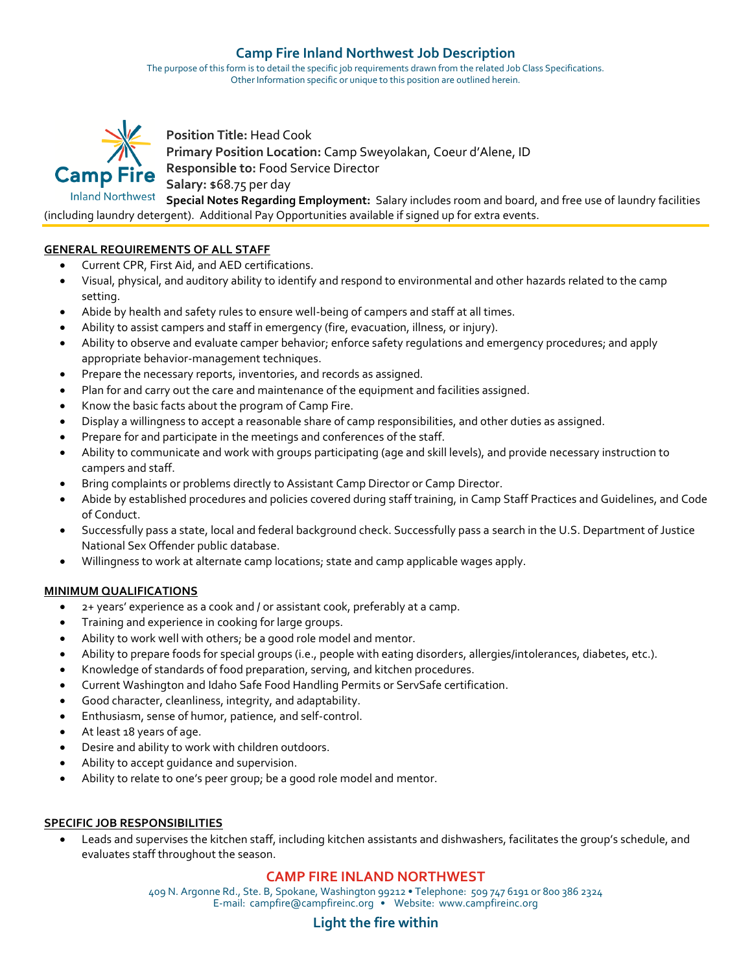# **Camp Fire Inland Northwest Job Description**

The purpose of this form is to detail the specific job requirements drawn from the related Job Class Specifications. Other Information specific or unique to this position are outlined herein.



**Position Title:** Head Cook **Primary Position Location:** Camp Sweyolakan, Coeur d'Alene, ID **Camp Fire** Responsible to: Food Service Director **Salary:** \$68.75 per day

Inland Northwest Special Notes Regarding Employment: Salary includes room and board, and free use of laundry facilities (including laundry detergent). Additional Pay Opportunities available if signed up for extra events.

### **GENERAL REQUIREMENTS OF ALL STAFF**

- Current CPR, First Aid, and AED certifications.
- Visual, physical, and auditory ability to identify and respond to environmental and other hazards related to the camp setting.
- Abide by health and safety rules to ensure well-being of campers and staff at all times.
- Ability to assist campers and staff in emergency (fire, evacuation, illness, or injury).
- Ability to observe and evaluate camper behavior; enforce safety regulations and emergency procedures; and apply appropriate behavior-management techniques.
- Prepare the necessary reports, inventories, and records as assigned.
- Plan for and carry out the care and maintenance of the equipment and facilities assigned.
- Know the basic facts about the program of Camp Fire.
- Display a willingness to accept a reasonable share of camp responsibilities, and other duties as assigned.
- Prepare for and participate in the meetings and conferences of the staff.
- Ability to communicate and work with groups participating (age and skill levels), and provide necessary instruction to campers and staff.
- Bring complaints or problems directly to Assistant Camp Director or Camp Director.
- Abide by established procedures and policies covered during staff training, in Camp Staff Practices and Guidelines, and Code of Conduct.
- Successfully pass a state, local and federal background check. Successfully pass a search in the U.S. Department of Justice National Sex Offender public database.
- Willingness to work at alternate camp locations; state and camp applicable wages apply.

#### **MINIMUM QUALIFICATIONS**

- 2+ years' experience as a cook and / or assistant cook, preferably at a camp.
- Training and experience in cooking for large groups.
- Ability to work well with others; be a good role model and mentor.
- Ability to prepare foods for special groups (i.e., people with eating disorders, allergies/intolerances, diabetes, etc.).
- Knowledge of standards of food preparation, serving, and kitchen procedures.
- Current Washington and Idaho Safe Food Handling Permits or ServSafe certification.
- Good character, cleanliness, integrity, and adaptability.
- Enthusiasm, sense of humor, patience, and self-control.
- At least 18 years of age.
- Desire and ability to work with children outdoors.
- Ability to accept quidance and supervision.
- Ability to relate to one's peer group; be a good role model and mentor.

#### **SPECIFIC JOB RESPONSIBILITIES**

• Leads and supervises the kitchen staff, including kitchen assistants and dishwashers, facilitates the group's schedule, and evaluates staff throughout the season.

# **CAMP FIRE INLAND NORTHWEST**

409 N. Argonne Rd., Ste. B, Spokane, Washington 99212 • Telephone: 509 747 6191 or 800 386 2324 E-mail: campfire@campfireinc.org • Website: www.campfireinc.org

# **Light the fire within**